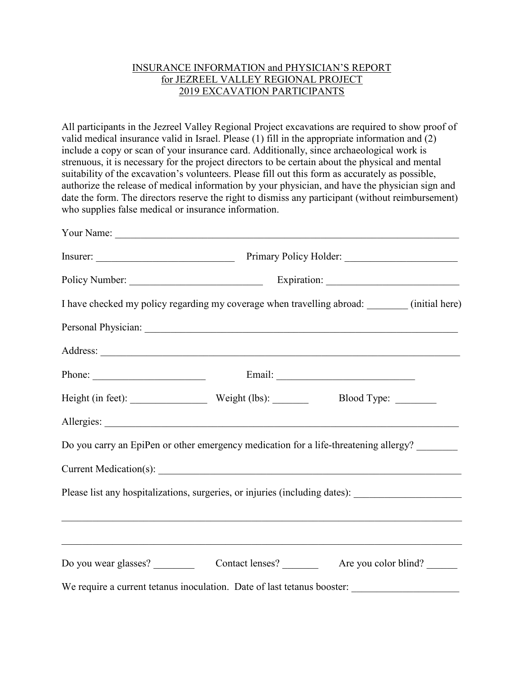## INSURANCE INFORMATION and PHYSICIAN'S REPORT for JEZREEL VALLEY REGIONAL PROJECT 2019 EXCAVATION PARTICIPANTS

All participants in the Jezreel Valley Regional Project excavations are required to show proof of valid medical insurance valid in Israel. Please (1) fill in the appropriate information and (2) include a copy or scan of your insurance card. Additionally, since archaeological work is strenuous, it is necessary for the project directors to be certain about the physical and mental suitability of the excavation's volunteers. Please fill out this form as accurately as possible, authorize the release of medical information by your physician, and have the physician sign and date the form. The directors reserve the right to dismiss any participant (without reimbursement) who supplies false medical or insurance information.

| I have checked my policy regarding my coverage when travelling abroad: _______ (initial here)       |                                                                                   |  |
|-----------------------------------------------------------------------------------------------------|-----------------------------------------------------------------------------------|--|
|                                                                                                     |                                                                                   |  |
|                                                                                                     |                                                                                   |  |
|                                                                                                     |                                                                                   |  |
| Height (in feet): Weight (lbs): Blood Type: _______                                                 |                                                                                   |  |
|                                                                                                     |                                                                                   |  |
| Do you carry an EpiPen or other emergency medication for a life-threatening allergy?                |                                                                                   |  |
|                                                                                                     |                                                                                   |  |
| Please list any hospitalizations, surgeries, or injuries (including dates): _______________________ |                                                                                   |  |
|                                                                                                     |                                                                                   |  |
|                                                                                                     | ,我们也不能在这里的人,我们也不能在这里的人,我们也不能在这里的人,我们也不能在这里的人,我们也不能在这里的人,我们也不能在这里的人,我们也不能在这里的人,我们也 |  |
|                                                                                                     |                                                                                   |  |
|                                                                                                     |                                                                                   |  |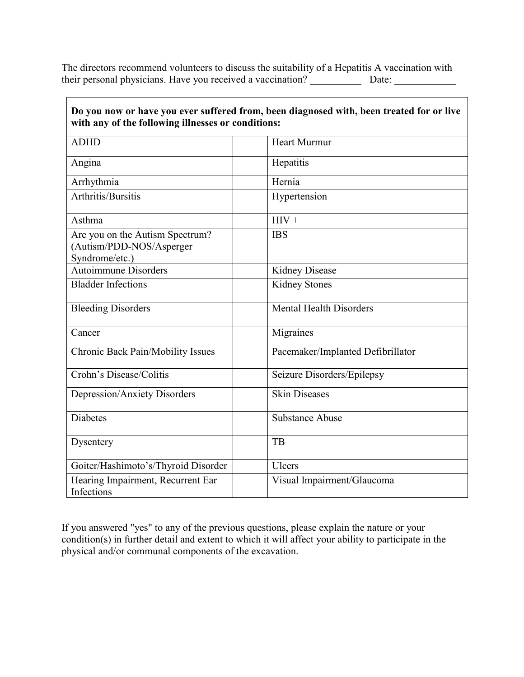The directors recommend volunteers to discuss the suitability of a Hepatitis A vaccination with their personal physicians. Have you received a vaccination? \_\_\_\_\_\_\_\_\_\_ Date: \_\_\_\_\_\_\_\_\_\_\_\_

| a now or nave you ever surfered from, been unaghosed with, been treated for or five<br>with any of the following illnesses or conditions: |                                   |  |
|-------------------------------------------------------------------------------------------------------------------------------------------|-----------------------------------|--|
| <b>ADHD</b>                                                                                                                               | <b>Heart Murmur</b>               |  |
| Angina                                                                                                                                    | Hepatitis                         |  |
| Arrhythmia                                                                                                                                | Hernia                            |  |
| Arthritis/Bursitis                                                                                                                        | Hypertension                      |  |
| Asthma                                                                                                                                    | $HIV +$                           |  |
| Are you on the Autism Spectrum?<br>(Autism/PDD-NOS/Asperger<br>Syndrome/etc.)                                                             | <b>IBS</b>                        |  |
| <b>Autoimmune Disorders</b>                                                                                                               | <b>Kidney Disease</b>             |  |
| <b>Bladder Infections</b>                                                                                                                 | <b>Kidney Stones</b>              |  |
| <b>Bleeding Disorders</b>                                                                                                                 | <b>Mental Health Disorders</b>    |  |
| Cancer                                                                                                                                    | Migraines                         |  |
| Chronic Back Pain/Mobility Issues                                                                                                         | Pacemaker/Implanted Defibrillator |  |
| Crohn's Disease/Colitis                                                                                                                   | Seizure Disorders/Epilepsy        |  |
| Depression/Anxiety Disorders                                                                                                              | <b>Skin Diseases</b>              |  |
| <b>Diabetes</b>                                                                                                                           | <b>Substance Abuse</b>            |  |
| Dysentery                                                                                                                                 | TB                                |  |
| Goiter/Hashimoto's/Thyroid Disorder                                                                                                       | <b>Ulcers</b>                     |  |
| Hearing Impairment, Recurrent Ear<br>Infections                                                                                           | Visual Impairment/Glaucoma        |  |

**Do you now or have you ever suffered from, been diagnosed with, been treated for or live** 

If you answered "yes" to any of the previous questions, please explain the nature or your condition(s) in further detail and extent to which it will affect your ability to participate in the physical and/or communal components of the excavation.